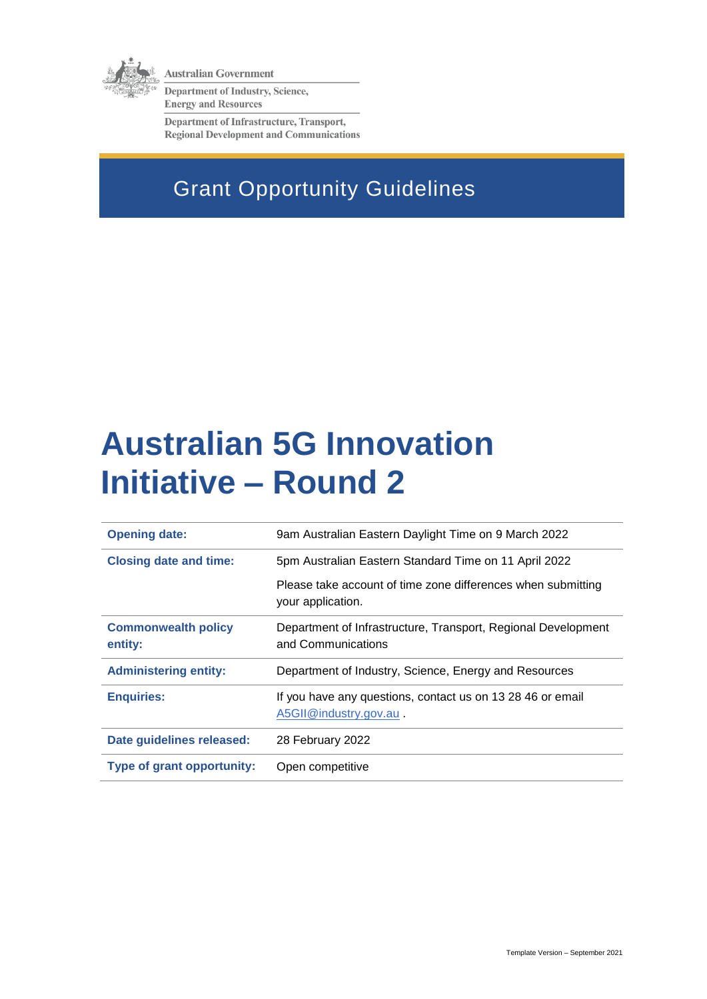

**Australian Government** 

Department of Industry, Science, **Energy and Resources** 

Department of Infrastructure, Transport, **Regional Development and Communications** 

## Grant Opportunity Guidelines

# **Australian 5G Innovation Initiative – Round 2**

| <b>Opening date:</b>                  | 9am Australian Eastern Daylight Time on 9 March 2022                                |
|---------------------------------------|-------------------------------------------------------------------------------------|
| <b>Closing date and time:</b>         | 5pm Australian Eastern Standard Time on 11 April 2022                               |
|                                       | Please take account of time zone differences when submitting<br>your application.   |
| <b>Commonwealth policy</b><br>entity: | Department of Infrastructure, Transport, Regional Development<br>and Communications |
| <b>Administering entity:</b>          | Department of Industry, Science, Energy and Resources                               |
| <b>Enquiries:</b>                     | If you have any questions, contact us on 13 28 46 or email<br>A5GII@industry.gov.au |
| Date guidelines released:             | 28 February 2022                                                                    |
| <b>Type of grant opportunity:</b>     | Open competitive                                                                    |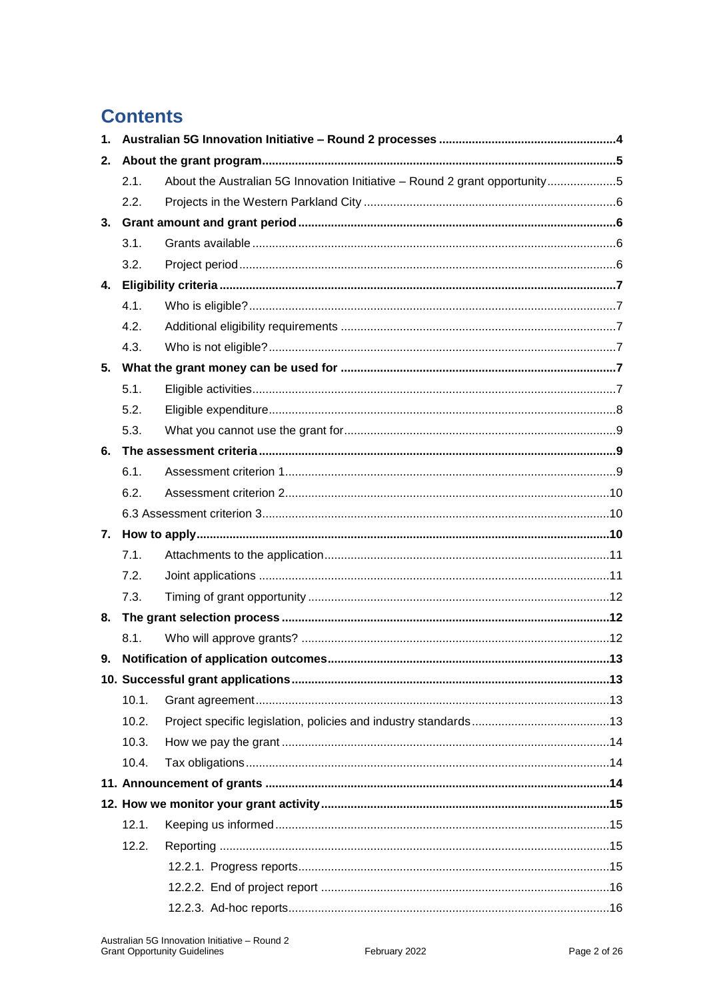## **Contents**

| 1. |       |                                                                            |  |  |
|----|-------|----------------------------------------------------------------------------|--|--|
| 2. |       |                                                                            |  |  |
|    | 2.1.  | About the Australian 5G Innovation Initiative - Round 2 grant opportunity5 |  |  |
|    | 2.2.  |                                                                            |  |  |
| 3. |       |                                                                            |  |  |
|    | 3.1.  |                                                                            |  |  |
|    | 3.2.  |                                                                            |  |  |
| 4. |       |                                                                            |  |  |
|    | 4.1.  |                                                                            |  |  |
|    | 4.2.  |                                                                            |  |  |
|    | 4.3.  |                                                                            |  |  |
| 5. |       |                                                                            |  |  |
|    | 5.1.  |                                                                            |  |  |
|    | 5.2.  |                                                                            |  |  |
|    | 5.3.  |                                                                            |  |  |
| 6. |       |                                                                            |  |  |
|    | 6.1.  |                                                                            |  |  |
|    | 6.2.  |                                                                            |  |  |
|    |       |                                                                            |  |  |
| 7. |       |                                                                            |  |  |
|    | 7.1.  |                                                                            |  |  |
|    | 7.2.  |                                                                            |  |  |
|    | 7.3.  |                                                                            |  |  |
| 8. |       |                                                                            |  |  |
|    | 8.1.  |                                                                            |  |  |
| 9. |       |                                                                            |  |  |
|    |       |                                                                            |  |  |
|    | 10.1. |                                                                            |  |  |
|    | 10.2. |                                                                            |  |  |
|    | 10.3. |                                                                            |  |  |
|    | 10.4. |                                                                            |  |  |
|    |       |                                                                            |  |  |
|    |       |                                                                            |  |  |
|    | 12.1. |                                                                            |  |  |
|    | 12.2. |                                                                            |  |  |
|    |       |                                                                            |  |  |
|    |       |                                                                            |  |  |
|    |       |                                                                            |  |  |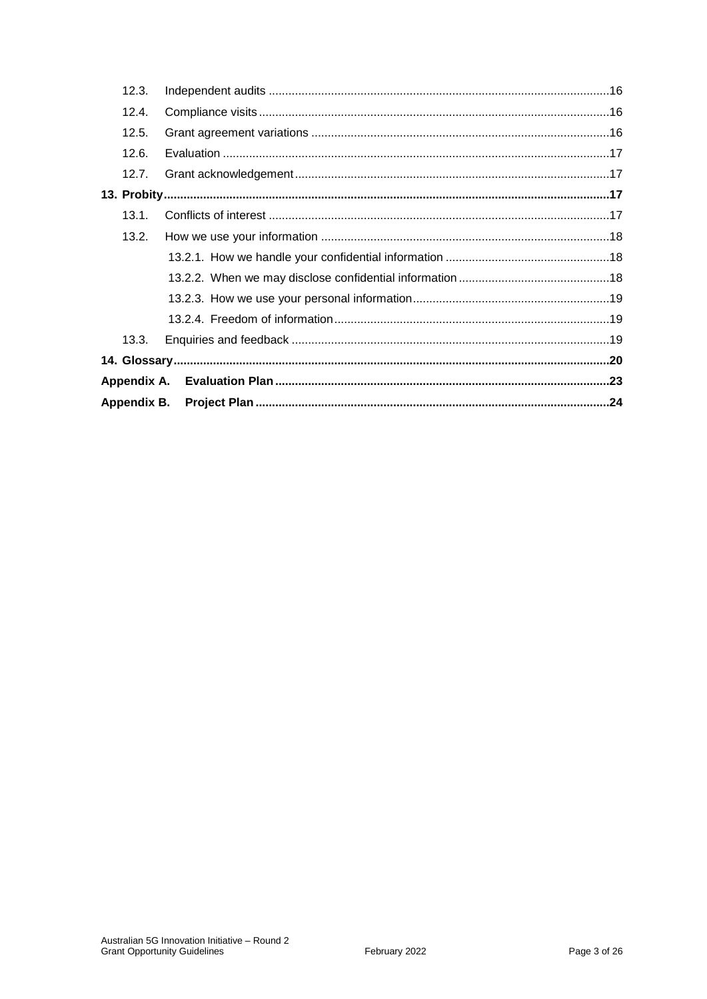| 13.3. |  |
|-------|--|
|       |  |
|       |  |
|       |  |
|       |  |
| 13.2. |  |
| 13.1. |  |
|       |  |
| 12.7. |  |
| 12.6. |  |
| 12.5. |  |
| 12.4. |  |
| 12.3. |  |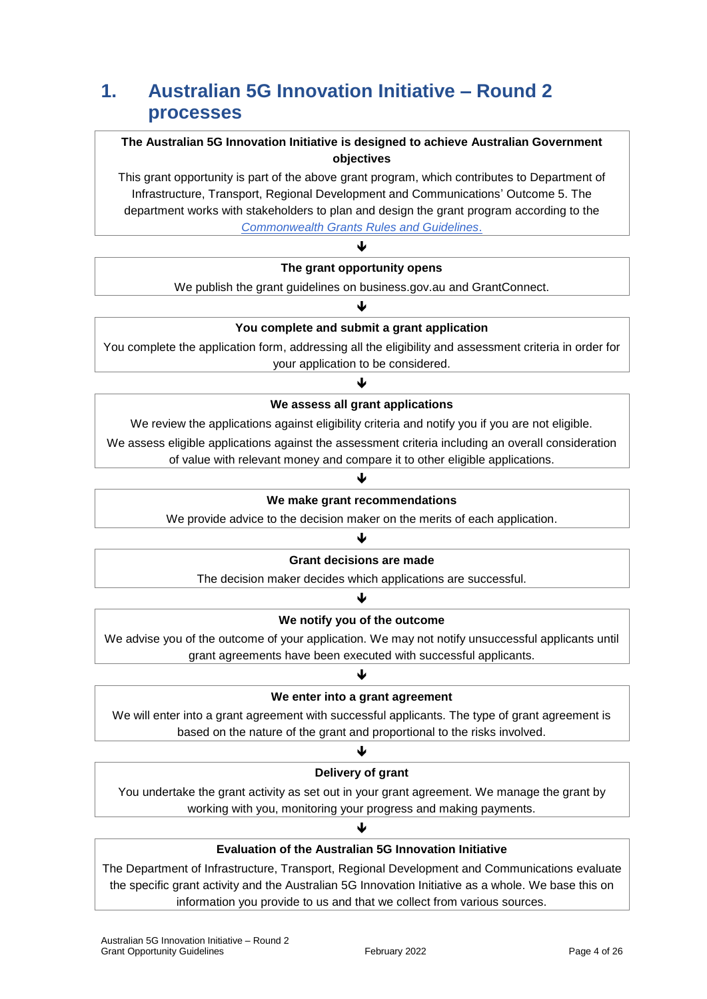## **1. Australian 5G Innovation Initiative – Round 2 processes**

## **The Australian 5G Innovation Initiative is designed to achieve Australian Government objectives**

This grant opportunity is part of the above grant program, which contributes to Department of Infrastructure, Transport, Regional Development and Communications' Outcome 5. The department works with stakeholders to plan and design the grant program according to the *[Commonwealth Grants Rules and Guidelines](https://www.finance.gov.au/government/commonwealth-grants/commonwealth-grants-rules-guidelines)*.

## J **The grant opportunity opens**

We publish the grant guidelines on business.gov.au and GrantConnect.

#### $\blacktriangledown$

### **You complete and submit a grant application**

You complete the application form, addressing all the eligibility and assessment criteria in order for your application to be considered.

### ↓

#### **We assess all grant applications**

We review the applications against eligibility criteria and notify you if you are not eligible.

We assess eligible applications against the assessment criteria including an overall consideration of value with relevant money and compare it to other eligible applications.

## ↓ **We make grant recommendations**

We provide advice to the decision maker on the merits of each application. J

### **Grant decisions are made**

The decision maker decides which applications are successful.

### ↓

#### **We notify you of the outcome**

We advise you of the outcome of your application. We may not notify unsuccessful applicants until grant agreements have been executed with successful applicants.

### J

#### **We enter into a grant agreement**

We will enter into a grant agreement with successful applicants. The type of grant agreement is based on the nature of the grant and proportional to the risks involved.

## ↓

### **Delivery of grant**

You undertake the grant activity as set out in your grant agreement. We manage the grant by working with you, monitoring your progress and making payments.

J

## **Evaluation of the Australian 5G Innovation Initiative**

The Department of Infrastructure, Transport, Regional Development and Communications evaluate the specific grant activity and the Australian 5G Innovation Initiative as a whole. We base this on information you provide to us and that we collect from various sources.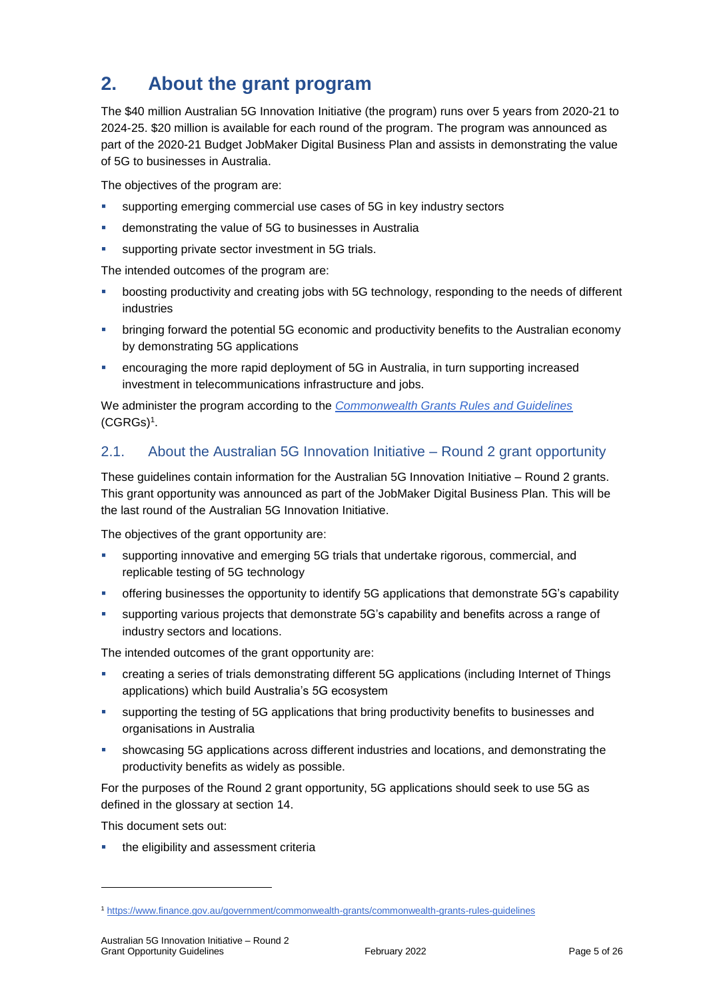## **2. About the grant program**

The \$40 million Australian 5G Innovation Initiative (the program) runs over 5 years from 2020-21 to 2024-25. \$20 million is available for each round of the program. The program was announced as part of the 2020-21 Budget JobMaker Digital Business Plan and assists in demonstrating the value of 5G to businesses in Australia.

The objectives of the program are:

- supporting emerging commercial use cases of 5G in key industry sectors
- demonstrating the value of 5G to businesses in Australia
- **supporting private sector investment in 5G trials.**

The intended outcomes of the program are:

- boosting productivity and creating jobs with 5G technology, responding to the needs of different industries
- bringing forward the potential 5G economic and productivity benefits to the Australian economy by demonstrating 5G applications
- encouraging the more rapid deployment of 5G in Australia, in turn supporting increased investment in telecommunications infrastructure and jobs.

We administer the program according to the *[Commonwealth Grants Rules and Guidelines](https://www.finance.gov.au/government/commonwealth-grants/commonwealth-grants-rules-guidelines)* [\(CGRGs\)](https://www.finance.gov.au/government/commonwealth-grants/commonwealth-grants-rules-guidelines)<sup>1</sup> .

## 2.1. About the Australian 5G Innovation Initiative – Round 2 grant opportunity

These guidelines contain information for the Australian 5G Innovation Initiative – Round 2 grants. This grant opportunity was announced as part of the JobMaker Digital Business Plan. This will be the last round of the Australian 5G Innovation Initiative.

The objectives of the grant opportunity are:

- supporting innovative and emerging 5G trials that undertake rigorous, commercial, and replicable testing of 5G technology
- offering businesses the opportunity to identify 5G applications that demonstrate 5G's capability
- supporting various projects that demonstrate 5G's capability and benefits across a range of industry sectors and locations.

The intended outcomes of the grant opportunity are:

- creating a series of trials demonstrating different 5G applications (including Internet of Things applications) which build Australia's 5G ecosystem
- supporting the testing of 5G applications that bring productivity benefits to businesses and organisations in Australia
- showcasing 5G applications across different industries and locations, and demonstrating the productivity benefits as widely as possible.

For the purposes of the Round 2 grant opportunity, 5G applications should seek to use 5G as defined in the glossary at section [14.](#page-19-0)

This document sets out:

-

the eligibility and assessment criteria

<sup>1</sup> <https://www.finance.gov.au/government/commonwealth-grants/commonwealth-grants-rules-guidelines>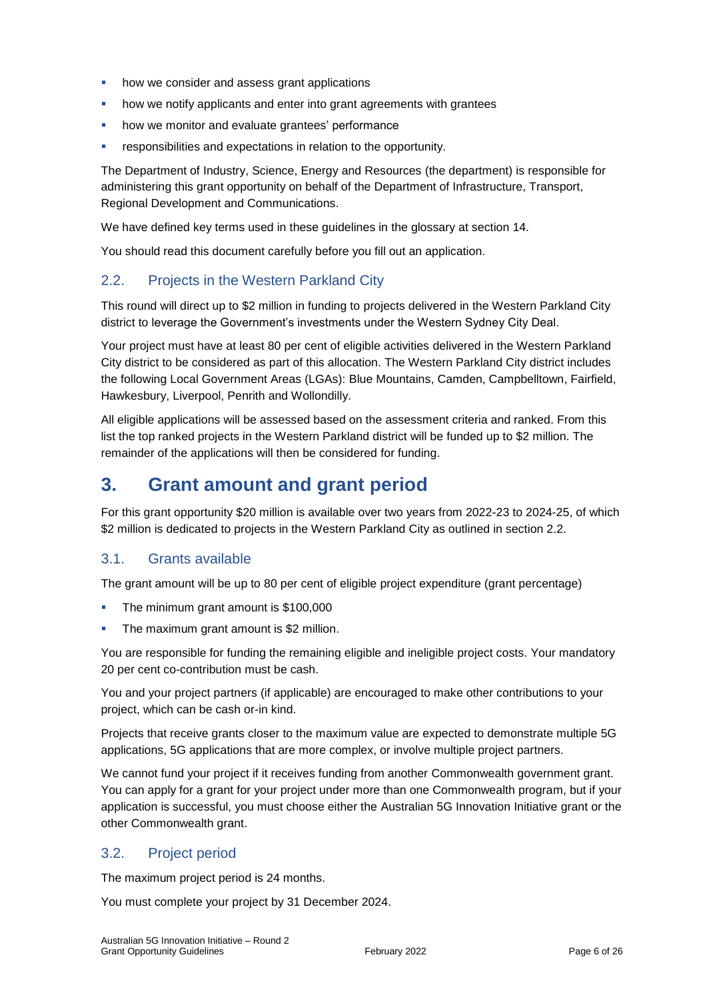- **•** how we consider and assess grant applications
- **•** how we notify applicants and enter into grant agreements with grantees
- **•** how we monitor and evaluate grantees' performance
- responsibilities and expectations in relation to the opportunity.

The Department of Industry, Science, Energy and Resources (the department) is responsible for administering this grant opportunity on behalf of the Department of Infrastructure, Transport, Regional Development and Communications.

We have defined key terms used in these guidelines in the glossary at section [14.](#page-19-0)

You should read this document carefully before you fill out an application.

## 2.2. Projects in the Western Parkland City

This round will direct up to \$2 million in funding to projects delivered in the Western Parkland City district to leverage the Government's investments under the Western Sydney City Deal.

Your project must have at least 80 per cent of eligible activities delivered in the Western Parkland City district to be considered as part of this allocation. The Western Parkland City district includes the following Local Government Areas (LGAs): Blue Mountains, Camden, Campbelltown, Fairfield, Hawkesbury, Liverpool, Penrith and Wollondilly.

All eligible applications will be assessed based on the assessment criteria and ranked. From this list the top ranked projects in the Western Parkland district will be funded up to \$2 million. The remainder of the applications will then be considered for funding.

## **3. Grant amount and grant period**

For this grant opportunity \$20 million is available over two years from 2022-23 to 2024-25, of which \$2 million is dedicated to projects in the Western Parkland City as outlined in section 2.2.

## 3.1. Grants available

The grant amount will be up to 80 per cent of eligible project expenditure (grant percentage)

- The minimum grant amount is \$100,000
- The maximum grant amount is \$2 million.

You are responsible for funding the remaining eligible and ineligible project costs. Your mandatory 20 per cent co-contribution must be cash.

You and your project partners (if applicable) are encouraged to make other contributions to your project, which can be cash or-in kind.

Projects that receive grants closer to the maximum value are expected to demonstrate multiple 5G applications, 5G applications that are more complex, or involve multiple project partners.

We cannot fund your project if it receives funding from another Commonwealth government grant. You can apply for a grant for your project under more than one Commonwealth program, but if your application is successful, you must choose either the Australian 5G Innovation Initiative grant or the other Commonwealth grant.

## 3.2. Project period

The maximum project period is 24 months.

You must complete your project by 31 December 2024.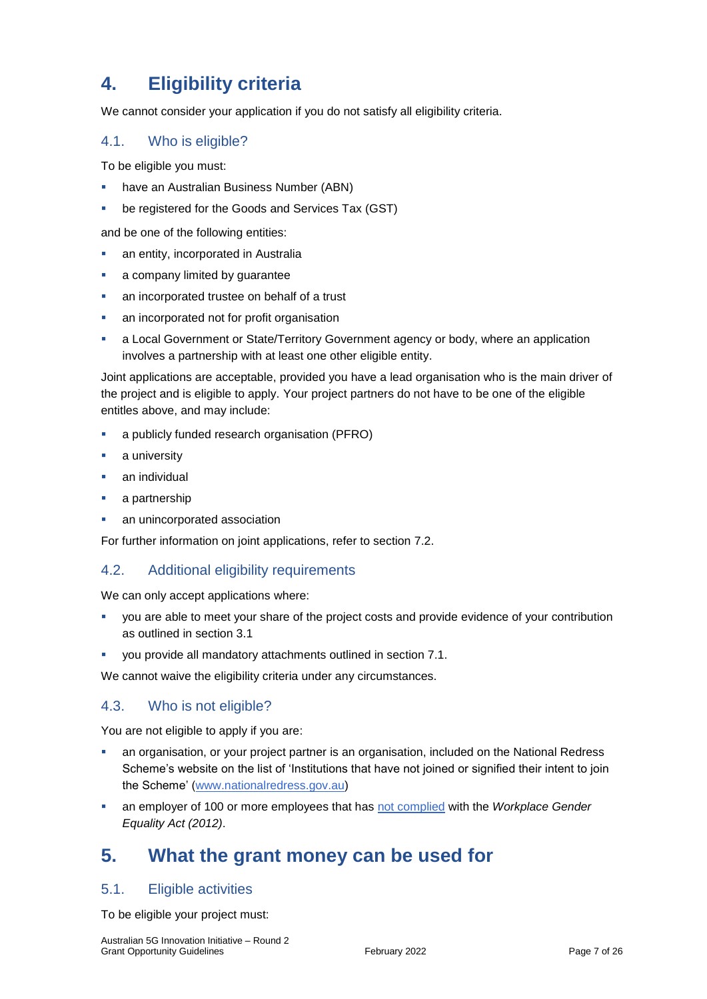## **4. Eligibility criteria**

We cannot consider your application if you do not satisfy all eligibility criteria.

### 4.1. Who is eligible?

To be eligible you must:

- **have an Australian Business Number (ABN)**
- be registered for the Goods and Services Tax (GST)

and be one of the following entities:

- an entity, incorporated in Australia
- a company limited by guarantee
- an incorporated trustee on behalf of a trust
- an incorporated not for profit organisation
- a Local Government or State/Territory Government agency or body, where an application involves a partnership with at least one other eligible entity.

Joint applications are acceptable, provided you have a lead organisation who is the main driver of the project and is eligible to apply. Your project partners do not have to be one of the eligible entitles above, and may include:

- a publicly funded research organisation (PFRO)
- a university
- an individual
- **a** partnership
- an unincorporated association

For further information on joint applications, refer to section [7.2.](#page-10-0)

## 4.2. Additional eligibility requirements

We can only accept applications where:

- you are able to meet your share of the project costs and provide evidence of your contribution as outlined in section 3.1
- you provide all mandatory attachments outlined in section 7.1.

We cannot waive the eligibility criteria under any circumstances.

### 4.3. Who is not eligible?

You are not eligible to apply if you are:

- an organisation, or your project partner is an organisation, included on the National Redress Scheme's website on the list of 'Institutions that have not joined or signified their intent to join the Scheme' [\(www.nationalredress.gov.au\)](http://www.nationalredress.gov.au/)
- an employer of 100 or more employees that has [not complied](https://www.wgea.gov.au/what-we-do/compliance-reporting/non-compliant-list) with the *Workplace Gender Equality Act (2012)*.

## **5. What the grant money can be used for**

### <span id="page-6-0"></span>5.1. Eligible activities

To be eligible your project must: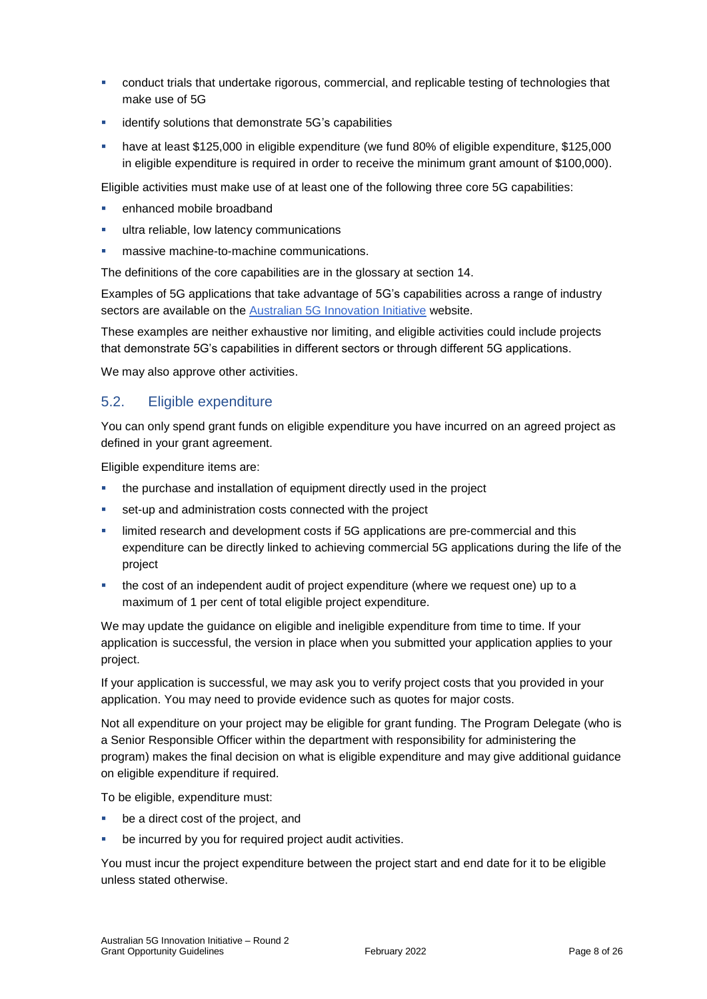- conduct trials that undertake rigorous, commercial, and replicable testing of technologies that make use of 5G
- identify solutions that demonstrate 5G's capabilities
- have at least \$125,000 in eligible expenditure (we fund 80% of eligible expenditure, \$125,000 in eligible expenditure is required in order to receive the minimum grant amount of \$100,000).

Eligible activities must make use of at least one of the following three core 5G capabilities:

- enhanced mobile broadband
- ultra reliable, low latency communications
- **nassive machine-to-machine communications.**

The definitions of the core capabilities are in the glossary at section [14.](#page-19-0)

Examples of 5G applications that take advantage of 5G's capabilities across a range of industry sectors are available on the [Australian 5G Innovation Initiative](https://www.infrastructure.gov.au/media-technology-communications/spectrum/australian-5g-innovation-initiative) website.

These examples are neither exhaustive nor limiting, and eligible activities could include projects that demonstrate 5G's capabilities in different sectors or through different 5G applications.

We may also approve other activities.

### <span id="page-7-0"></span>5.2. Eligible expenditure

You can only spend grant funds on eligible expenditure you have incurred on an agreed project as defined in your grant agreement.

Eligible expenditure items are:

- the purchase and installation of equipment directly used in the project
- set-up and administration costs connected with the project
- limited research and development costs if 5G applications are pre-commercial and this expenditure can be directly linked to achieving commercial 5G applications during the life of the project
- the cost of an independent audit of project expenditure (where we request one) up to a maximum of 1 per cent of total eligible project expenditure.

We may update the guidance on eligible and ineligible expenditure from time to time. If your application is successful, the version in place when you submitted your application applies to your project.

If your application is successful, we may ask you to verify project costs that you provided in your application. You may need to provide evidence such as quotes for major costs.

Not all expenditure on your project may be eligible for grant funding. The Program Delegate (who is a Senior Responsible Officer within the department with responsibility for administering the program) makes the final decision on what is eligible expenditure and may give additional guidance on eligible expenditure if required.

To be eligible, expenditure must:

- be a direct cost of the project, and
- be incurred by you for required project audit activities.

You must incur the project expenditure between the project start and end date for it to be eligible unless stated otherwise.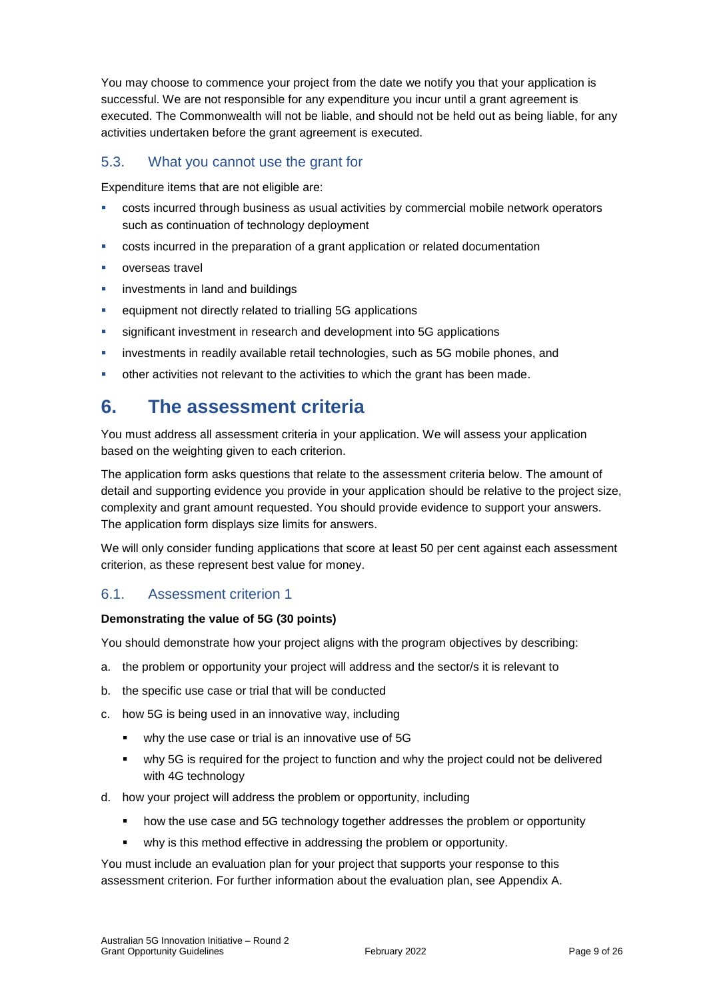You may choose to commence your project from the date we notify you that your application is successful. We are not responsible for any expenditure you incur until a grant agreement is executed. The Commonwealth will not be liable, and should not be held out as being liable, for any activities undertaken before the grant agreement is executed.

## 5.3. What you cannot use the grant for

Expenditure items that are not eligible are:

- costs incurred through business as usual activities by commercial mobile network operators such as continuation of technology deployment
- costs incurred in the preparation of a grant application or related documentation
- **verseas travel**
- **EXECUTE:** investments in land and buildings
- **EXECUTE:** equipment not directly related to trialling 5G applications
- significant investment in research and development into 5G applications
- investments in readily available retail technologies, such as 5G mobile phones, and
- other activities not relevant to the activities to which the grant has been made.

## **6. The assessment criteria**

You must address all assessment criteria in your application. We will assess your application based on the weighting given to each criterion.

The application form asks questions that relate to the assessment criteria below. The amount of detail and supporting evidence you provide in your application should be relative to the project size, complexity and grant amount requested. You should provide evidence to support your answers. The application form displays size limits for answers.

We will only consider funding applications that score at least 50 per cent against each assessment criterion, as these represent best value for money.

## 6.1. Assessment criterion 1

#### **Demonstrating the value of 5G (30 points)**

You should demonstrate how your project aligns with the program objectives by describing:

- a. the problem or opportunity your project will address and the sector/s it is relevant to
- b. the specific use case or trial that will be conducted
- c. how 5G is being used in an innovative way, including
	- why the use case or trial is an innovative use of 5G
	- why 5G is required for the project to function and why the project could not be delivered with 4G technology
- d. how your project will address the problem or opportunity, including
	- how the use case and 5G technology together addresses the problem or opportunity
	- why is this method effective in addressing the problem or opportunity.

You must include an evaluation plan for your project that supports your response to this assessment criterion. For further information about the evaluation plan, see Appendix A.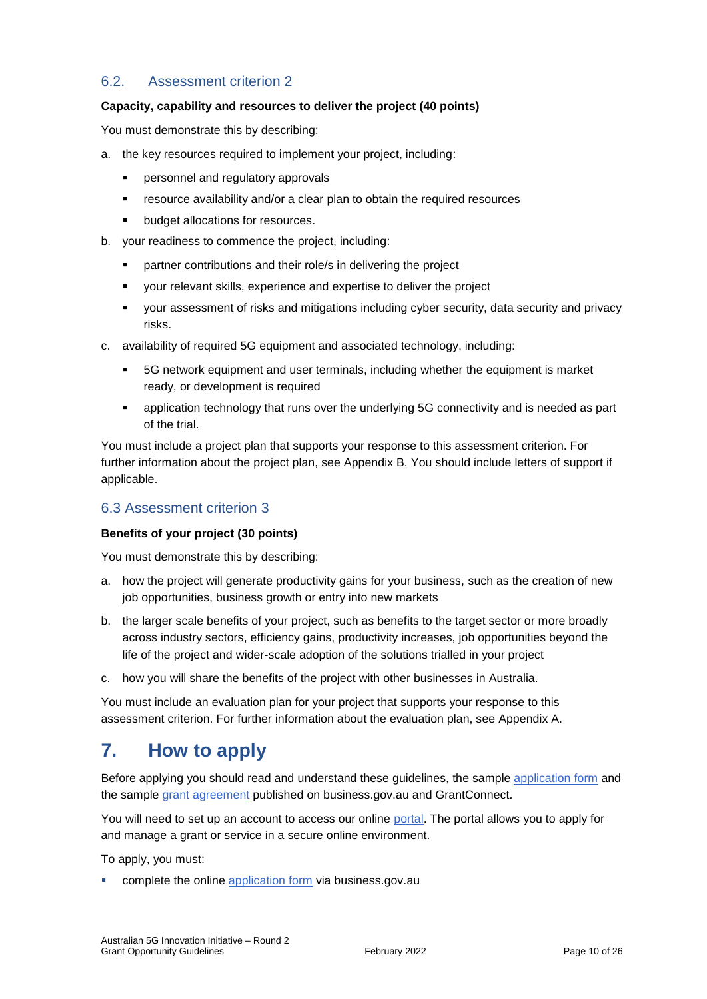## 6.2. Assessment criterion 2

#### **Capacity, capability and resources to deliver the project (40 points)**

You must demonstrate this by describing:

- a. the key resources required to implement your project, including:
	- personnel and regulatory approvals
	- resource availability and/or a clear plan to obtain the required resources
	- **•** budget allocations for resources.
- b. your readiness to commence the project, including:
	- **•** partner contributions and their role/s in delivering the project
	- your relevant skills, experience and expertise to deliver the project
	- your assessment of risks and mitigations including cyber security, data security and privacy risks.
- c. availability of required 5G equipment and associated technology, including:
	- 5G network equipment and user terminals, including whether the equipment is market ready, or development is required
	- application technology that runs over the underlying 5G connectivity and is needed as part of the trial.

You must include a project plan that supports your response to this assessment criterion. For further information about the project plan, see Appendix B. You should include letters of support if applicable.

## 6.3 Assessment criterion 3

#### **Benefits of your project (30 points)**

You must demonstrate this by describing:

- a. how the project will generate productivity gains for your business, such as the creation of new job opportunities, business growth or entry into new markets
- b. the larger scale benefits of your project, such as benefits to the target sector or more broadly across industry sectors, efficiency gains, productivity increases, job opportunities beyond the life of the project and wider-scale adoption of the solutions trialled in your project
- c. how you will share the benefits of the project with other businesses in Australia.

You must include an evaluation plan for your project that supports your response to this assessment criterion. For further information about the evaluation plan, see Appendix A.

## **7. How to apply**

Before applying you should read and understand these guidelines, the sample [application form](https://business.gov.au/grants-and-programs/australian-5g-innovation-initiative-round-2#key-documents) and the sample [grant agreement](https://business.gov.au/grants-and-programs/australian-5g-innovation-initiative-round-2#key-documents) published on business.gov.au and GrantConnect.

You will need to set up an account to access our online [portal.](https://portal.business.gov.au/) The portal allows you to apply for and manage a grant or service in a secure online environment.

To apply, you must:

complete the online [application form](https://business.gov.au/grants-and-programs/australian-5g-innovation-initiative-round-2) via business.gov.au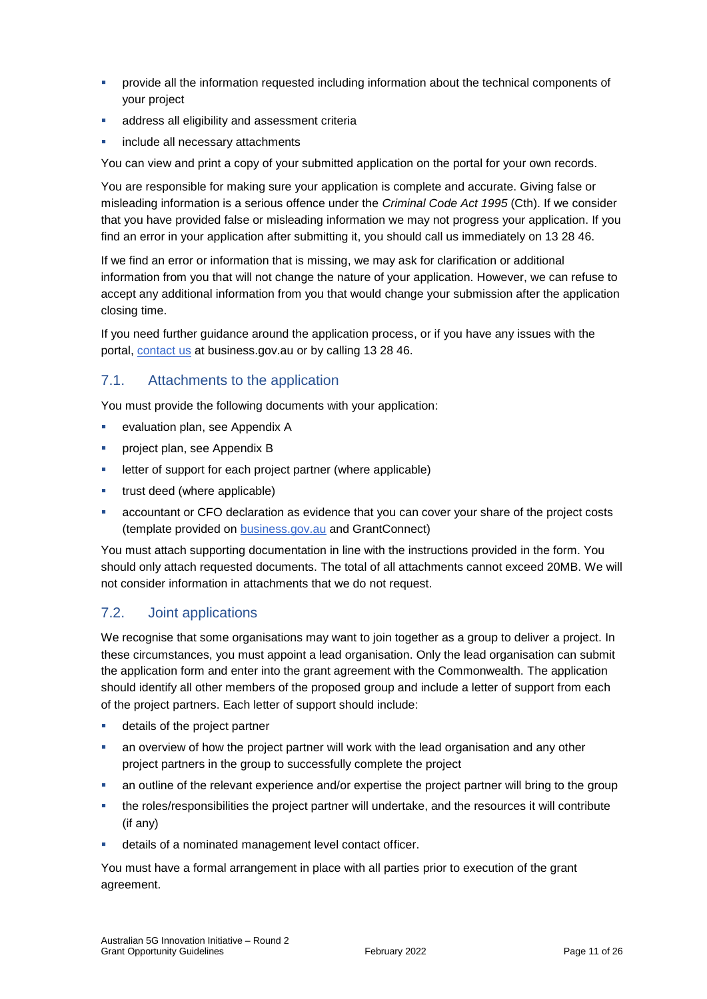- **•** provide all the information requested including information about the technical components of your project
- address all eligibility and assessment criteria
- include all necessary attachments

You can view and print a copy of your submitted application on the portal for your own records.

You are responsible for making sure your application is complete and accurate. Giving false or misleading information is a serious offence under the *Criminal Code Act 1995* (Cth). If we consider that you have provided false or misleading information we may not progress your application. If you find an error in your application after submitting it, you should call us immediately on 13 28 46.

If we find an error or information that is missing, we may ask for clarification or additional information from you that will not change the nature of your application. However, we can refuse to accept any additional information from you that would change your submission after the application closing time.

If you need further guidance around the application process, or if you have any issues with the portal, [contact us](https://www.business.gov.au/contact-us) at business.gov.au or by calling 13 28 46.

### 7.1. Attachments to the application

You must provide the following documents with your application:

- **Example 1** evaluation plan, see Appendix A
- **Project plan, see Appendix B**
- letter of support for each project partner (where applicable)
- **trust deed (where applicable)**
- accountant or CFO declaration as evidence that you can cover your share of the project costs (template provided on [business.gov.au](https://business.gov.au/grants-and-programs/australian-5g-innovation-initiative-round-2#key-documents) and GrantConnect)

You must attach supporting documentation in line with the instructions provided in the form. You should only attach requested documents. The total of all attachments cannot exceed 20MB. We will not consider information in attachments that we do not request.

### <span id="page-10-0"></span>7.2. Joint applications

We recognise that some organisations may want to join together as a group to deliver a project. In these circumstances, you must appoint a lead organisation. Only the lead organisation can submit the application form and enter into the grant agreement with the Commonwealth. The application should identify all other members of the proposed group and include a letter of support from each of the project partners. Each letter of support should include:

- details of the project partner
- an overview of how the project partner will work with the lead organisation and any other project partners in the group to successfully complete the project
- an outline of the relevant experience and/or expertise the project partner will bring to the group
- the roles/responsibilities the project partner will undertake, and the resources it will contribute (if any)
- details of a nominated management level contact officer.

You must have a formal arrangement in place with all parties prior to execution of the grant agreement.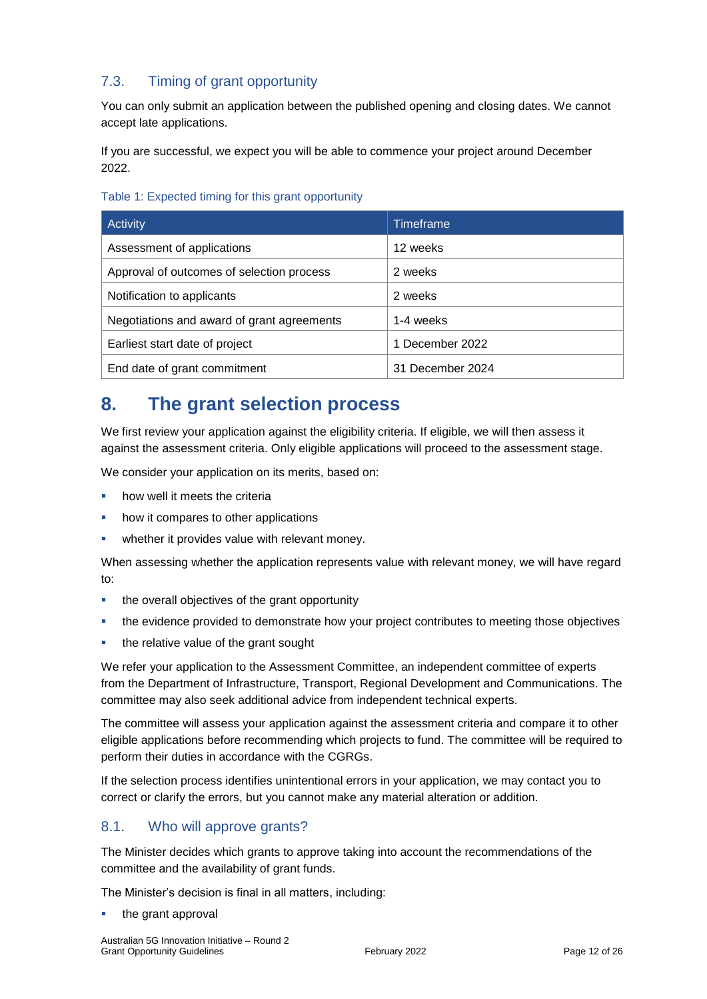## 7.3. Timing of grant opportunity

You can only submit an application between the published opening and closing dates. We cannot accept late applications.

If you are successful, we expect you will be able to commence your project around December 2022.

| Activity                                   | Timeframe        |
|--------------------------------------------|------------------|
| Assessment of applications                 | 12 weeks         |
| Approval of outcomes of selection process  | 2 weeks          |
| Notification to applicants                 | 2 weeks          |
| Negotiations and award of grant agreements | 1-4 weeks        |
| Earliest start date of project             | 1 December 2022  |
| End date of grant commitment               | 31 December 2024 |

## **8. The grant selection process**

We first review your application against the eligibility criteria. If eligible, we will then assess it against the assessment criteria. Only eligible applications will proceed to the assessment stage.

We consider your application on its merits, based on:

- **•** how well it meets the criteria
- how it compares to other applications
- **•** whether it provides value with relevant money.

When assessing whether the application represents value with relevant money, we will have regard to:

- the overall objectives of the grant opportunity
- the evidence provided to demonstrate how your project contributes to meeting those objectives
- the relative value of the grant sought

We refer your application to the Assessment Committee, an independent committee of experts from the Department of Infrastructure, Transport, Regional Development and Communications. The committee may also seek additional advice from independent technical experts.

The committee will assess your application against the assessment criteria and compare it to other eligible applications before recommending which projects to fund. The committee will be required to perform their duties in accordance with the CGRGs.

If the selection process identifies unintentional errors in your application, we may contact you to correct or clarify the errors, but you cannot make any material alteration or addition.

## 8.1. Who will approve grants?

The Minister decides which grants to approve taking into account the recommendations of the committee and the availability of grant funds.

The Minister's decision is final in all matters, including:

the grant approval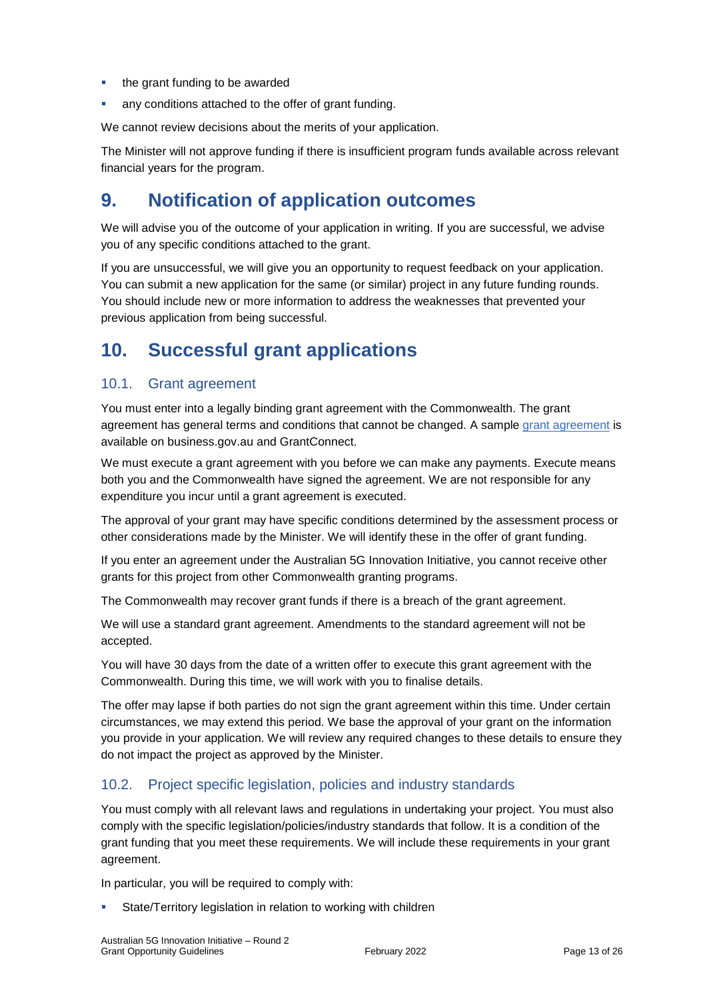- the grant funding to be awarded
- any conditions attached to the offer of grant funding.

We cannot review decisions about the merits of your application.

The Minister will not approve funding if there is insufficient program funds available across relevant financial years for the program.

## **9. Notification of application outcomes**

We will advise you of the outcome of your application in writing. If you are successful, we advise you of any specific conditions attached to the grant.

If you are unsuccessful, we will give you an opportunity to request feedback on your application. You can submit a new application for the same (or similar) project in any future funding rounds. You should include new or more information to address the weaknesses that prevented your previous application from being successful.

## **10. Successful grant applications**

## 10.1. Grant agreement

You must enter into a legally binding grant agreement with the Commonwealth. The grant agreement has general terms and conditions that cannot be changed. A sample [grant agreement](https://business.gov.au/grants-and-programs/australian-5g-innovation-initiative-round-2#key-documents) is available on business.gov.au and GrantConnect.

We must execute a grant agreement with you before we can make any payments. Execute means both you and the Commonwealth have signed the agreement. We are not responsible for any expenditure you incur until a grant agreement is executed.

The approval of your grant may have specific conditions determined by the assessment process or other considerations made by the Minister. We will identify these in the offer of grant funding.

If you enter an agreement under the Australian 5G Innovation Initiative, you cannot receive other grants for this project from other Commonwealth granting programs.

The Commonwealth may recover grant funds if there is a breach of the grant agreement.

We will use a standard grant agreement. Amendments to the standard agreement will not be accepted.

You will have 30 days from the date of a written offer to execute this grant agreement with the Commonwealth. During this time, we will work with you to finalise details.

The offer may lapse if both parties do not sign the grant agreement within this time. Under certain circumstances, we may extend this period. We base the approval of your grant on the information you provide in your application. We will review any required changes to these details to ensure they do not impact the project as approved by the Minister.

## 10.2. Project specific legislation, policies and industry standards

You must comply with all relevant laws and regulations in undertaking your project. You must also comply with the specific legislation/policies/industry standards that follow. It is a condition of the grant funding that you meet these requirements. We will include these requirements in your grant agreement.

In particular, you will be required to comply with:

State/Territory legislation in relation to working with children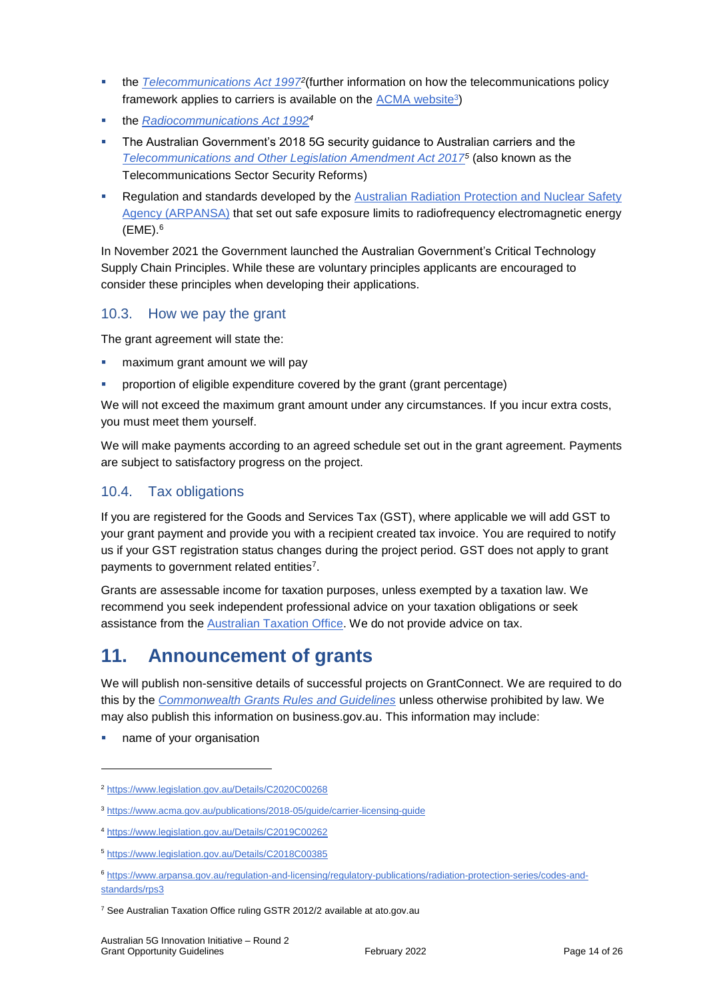- **the** *[Telecommunications Act 1997](https://www.legislation.gov.au/Details/C2020C00268)***<sup>2</sup> (further information on how the telecommunications policy** framework applies to carriers is available on the <u>ACMA website3</u>)
- the *[Radiocommunications Act 1992](https://www.legislation.gov.au/Details/C2019C00262)<sup>4</sup>*
- **The Australian Government's 2018 5G security guidance to Australian carriers and the** *[Telecommunications and Other Legislation Amendment Act 2017](https://www.legislation.gov.au/Details/C2018C00385)<sup>5</sup>* (also known as the Telecommunications Sector Security Reforms)
- Regulation and standards developed by the [Australian Radiation Protection and Nuclear Safety](https://www.arpansa.gov.au/regulation-and-licensing/regulatory-publications/radiation-protection-series/codes-and-standards/rps3)  [Agency \(ARPANSA\)](https://www.arpansa.gov.au/regulation-and-licensing/regulatory-publications/radiation-protection-series/codes-and-standards/rps3) that set out safe exposure limits to radiofrequency electromagnetic energy  $(EME).<sup>6</sup>$

In November 2021 the Government launched the Australian Government's Critical Technology Supply Chain Principles. While these are voluntary principles applicants are encouraged to consider these principles when developing their applications.

## 10.3. How we pay the grant

The grant agreement will state the:

- maximum grant amount we will pay
- proportion of eligible expenditure covered by the grant (grant percentage)

We will not exceed the maximum grant amount under any circumstances. If you incur extra costs, you must meet them yourself.

We will make payments according to an agreed schedule set out in the grant agreement. Payments are subject to satisfactory progress on the project.

## 10.4. Tax obligations

If you are registered for the Goods and Services Tax (GST), where applicable we will add GST to your grant payment and provide you with a recipient created tax invoice. You are required to notify us if your GST registration status changes during the project period. GST does not apply to grant payments to government related entities<sup>7</sup>.

Grants are assessable income for taxation purposes, unless exempted by a taxation law. We recommend you seek independent professional advice on your taxation obligations or seek assistance from the [Australian Taxation Office.](https://www.ato.gov.au/) We do not provide advice on tax.

## **11. Announcement of grants**

We will publish non-sensitive details of successful projects on GrantConnect. We are required to do this by the *[Commonwealth Grants Rules and Guidelines](https://www.finance.gov.au/government/commonwealth-grants/commonwealth-grants-rules-guidelines)* unless otherwise prohibited by law. We may also publish this information on business.gov.au. This information may include:

name of your organisation

<sup>2</sup> <https://www.legislation.gov.au/Details/C2020C00268>

<sup>3</sup> <https://www.acma.gov.au/publications/2018-05/guide/carrier-licensing-guide>

<sup>4</sup> <https://www.legislation.gov.au/Details/C2019C00262>

<sup>5</sup> <https://www.legislation.gov.au/Details/C2018C00385>

<sup>6</sup> [https://www.arpansa.gov.au/regulation-and-licensing/regulatory-publications/radiation-protection-series/codes-and](https://www.arpansa.gov.au/regulation-and-licensing/regulatory-publications/radiation-protection-series/codes-and-standards/rps3)[standards/rps3](https://www.arpansa.gov.au/regulation-and-licensing/regulatory-publications/radiation-protection-series/codes-and-standards/rps3)

<sup>&</sup>lt;sup>7</sup> See Australian Taxation Office ruling GSTR 2012/2 available at ato.gov.au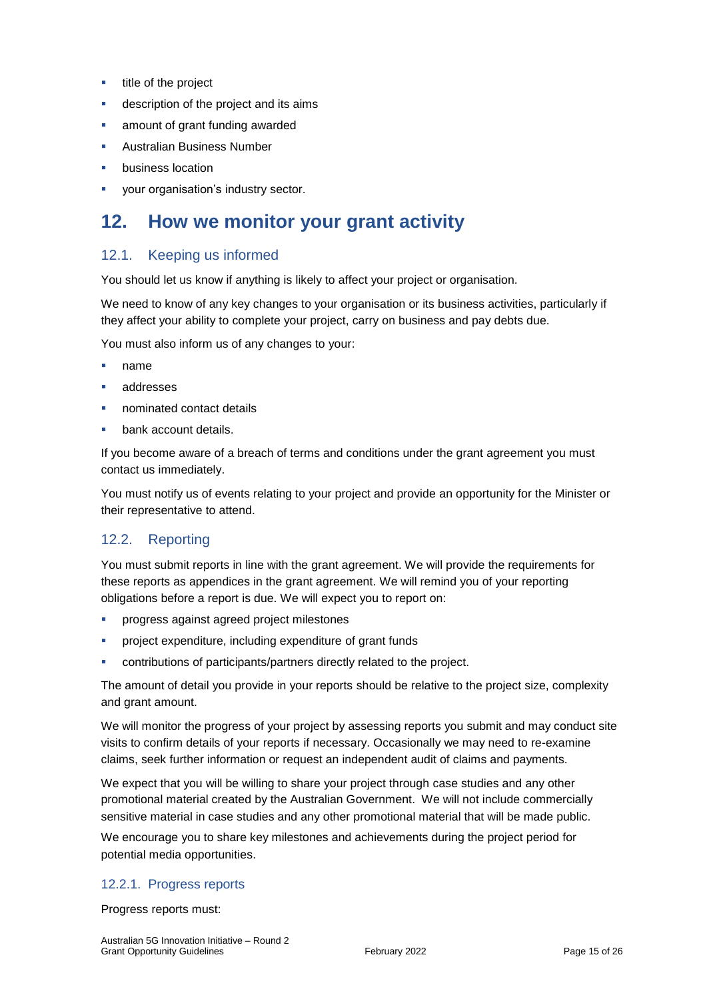- **title of the project**
- **description of the project and its aims**
- **all amount of grant funding awarded**
- Australian Business Number
- business location
- your organisation's industry sector.

## **12. How we monitor your grant activity**

## 12.1. Keeping us informed

You should let us know if anything is likely to affect your project or organisation.

We need to know of any key changes to your organisation or its business activities, particularly if they affect your ability to complete your project, carry on business and pay debts due.

You must also inform us of any changes to your:

- name
- addresses
- nominated contact details
- bank account details.

If you become aware of a breach of terms and conditions under the grant agreement you must contact us immediately.

You must notify us of events relating to your project and provide an opportunity for the Minister or their representative to attend.

## 12.2. Reporting

You must submit reports in line with the [grant agreement.](file://///prod.protected.ind/User/user03/LLau2/insert%20link%20here) We will provide the requirements for these reports as appendices in the grant agreement. We will remind you of your reporting obligations before a report is due. We will expect you to report on:

- progress against agreed project milestones
- project expenditure, including expenditure of grant funds
- contributions of participants/partners directly related to the project.

The amount of detail you provide in your reports should be relative to the project size, complexity and grant amount.

We will monitor the progress of your project by assessing reports you submit and may conduct site visits to confirm details of your reports if necessary. Occasionally we may need to re-examine claims, seek further information or request an independent audit of claims and payments.

We expect that you will be willing to share your project through case studies and any other promotional material created by the Australian Government. We will not include commercially sensitive material in case studies and any other promotional material that will be made public.

We encourage you to share key milestones and achievements during the project period for potential media opportunities.

#### 12.2.1. Progress reports

Progress reports must: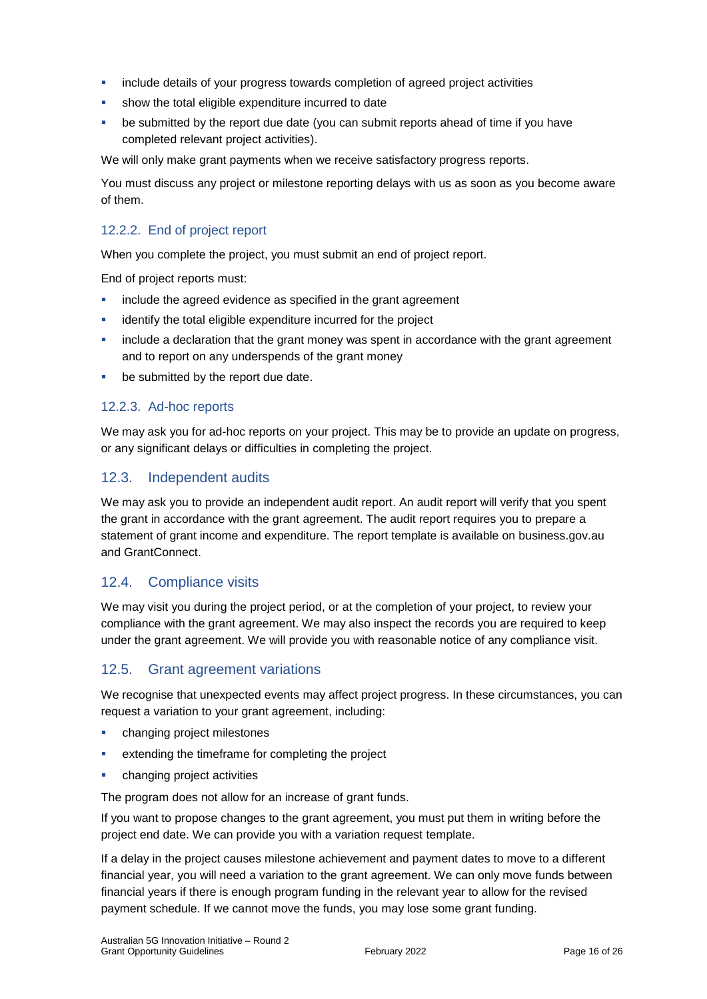- include details of your progress towards completion of agreed project activities
- show the total eligible expenditure incurred to date
- be submitted by the report due date (you can submit reports ahead of time if you have completed relevant project activities).

We will only make grant payments when we receive satisfactory progress reports.

You must discuss any project or milestone reporting delays with us as soon as you become aware of them.

### 12.2.2. End of project report

When you complete the project, you must submit an end of project report.

End of project reports must:

- include the agreed evidence as specified in the grant agreement
- identify the total eligible expenditure incurred for the project
- include a declaration that the grant money was spent in accordance with the grant agreement and to report on any underspends of the grant money
- be submitted by the report due date.

#### 12.2.3. Ad-hoc reports

We may ask you for ad-hoc reports on your project. This may be to provide an update on progress, or any significant delays or difficulties in completing the project.

### 12.3. Independent audits

We may ask you to provide an independent audit report. An audit report will verify that you spent the grant in accordance with the grant agreement. The audit report requires you to prepare a statement of grant income and expenditure. The report template is available on business.gov.au and GrantConnect.

### 12.4. Compliance visits

We may visit you during the project period, or at the completion of your project, to review your compliance with the grant agreement. We may also inspect the records you are required to keep under the grant agreement. We will provide you with reasonable notice of any compliance visit.

### 12.5. Grant agreement variations

We recognise that unexpected events may affect project progress. In these circumstances, you can request a variation to your grant agreement, including:

- changing project milestones
- extending the timeframe for completing the project
- changing project activities

The program does not allow for an increase of grant funds.

If you want to propose changes to the grant agreement, you must put them in writing before the project end date. We can provide you with a variation request template.

If a delay in the project causes milestone achievement and payment dates to move to a different financial year, you will need a variation to the grant agreement. We can only move funds between financial years if there is enough program funding in the relevant year to allow for the revised payment schedule. If we cannot move the funds, you may lose some grant funding.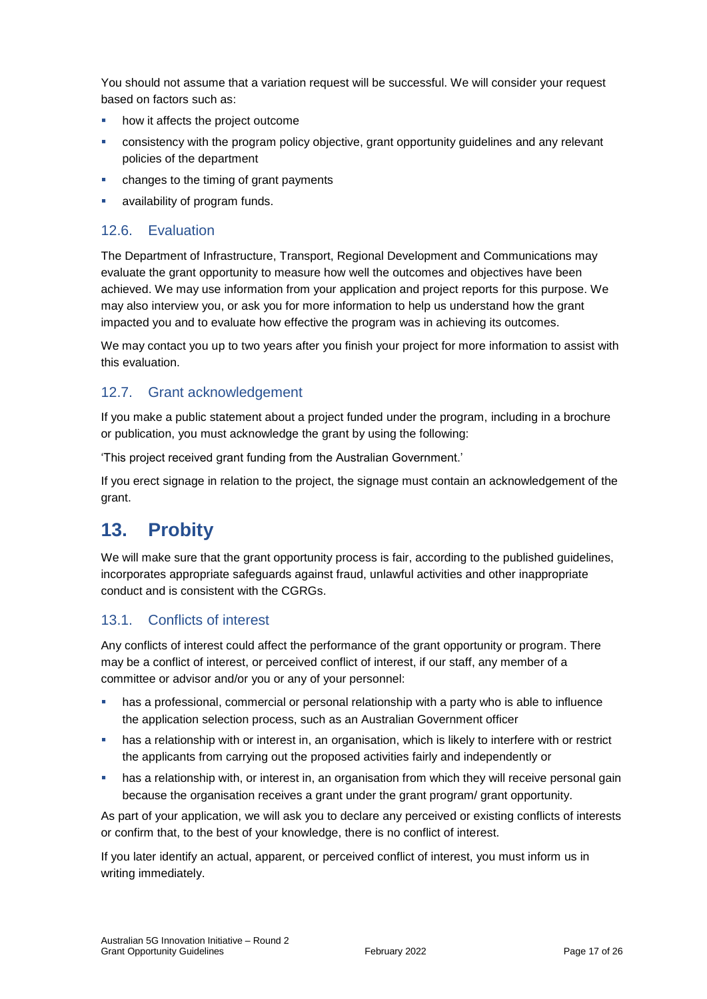You should not assume that a variation request will be successful. We will consider your request based on factors such as:

- how it affects the project outcome
- consistency with the program policy objective, grant opportunity guidelines and any relevant policies of the department
- changes to the timing of grant payments
- availability of program funds.

### 12.6. Evaluation

The Department of Infrastructure, Transport, Regional Development and Communications may evaluate the grant opportunity to measure how well the outcomes and objectives have been achieved. We may use information from your application and project reports for this purpose. We may also interview you, or ask you for more information to help us understand how the grant impacted you and to evaluate how effective the program was in achieving its outcomes.

We may contact you up to two years after you finish your project for more information to assist with this evaluation.

## 12.7. Grant acknowledgement

If you make a public statement about a project funded under the program, including in a brochure or publication, you must acknowledge the grant by using the following:

'This project received grant funding from the Australian Government.'

If you erect signage in relation to the project, the signage must contain an acknowledgement of the grant.

## **13. Probity**

We will make sure that the grant opportunity process is fair, according to the published guidelines, incorporates appropriate safeguards against fraud, unlawful activities and other inappropriate conduct and is consistent with the CGRGs.

## 13.1. Conflicts of interest

Any conflicts of interest could affect the performance of the grant opportunity or program. There may be a [conflict of interest,](http://www.apsc.gov.au/publications-and-media/current-publications/aps-values-and-code-of-conduct-in-practice/conflict-of-interest) or perceived conflict of interest, if our staff, any member of a committee or advisor and/or you or any of your personnel:

- has a professional, commercial or personal relationship with a party who is able to influence the application selection process, such as an Australian Government officer
- **•** has a relationship with or interest in, an organisation, which is likely to interfere with or restrict the applicants from carrying out the proposed activities fairly and independently or
- **•** has a relationship with, or interest in, an organisation from which they will receive personal gain because the organisation receives a grant under the grant program/ grant opportunity.

As part of your application, we will ask you to declare any perceived or existing conflicts of interests or confirm that, to the best of your knowledge, there is no conflict of interest.

If you later identify an actual, apparent, or perceived conflict of interest, you must inform us in writing immediately.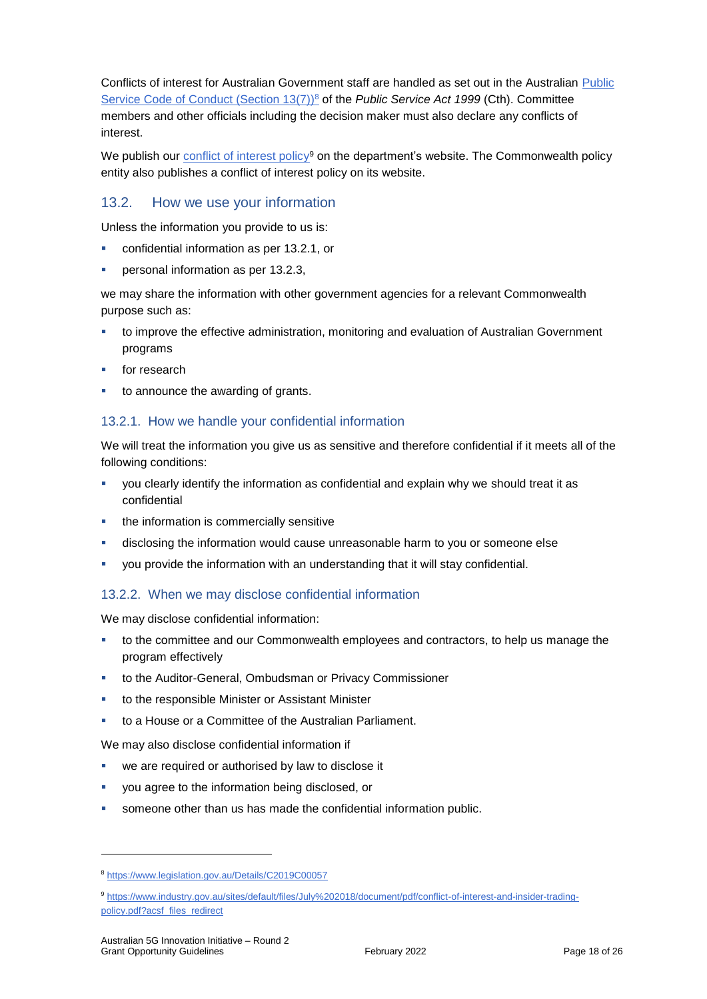Conflicts of interest for Australian Government staff are handled as set out in the Australian [Public](https://www.legislation.gov.au/Details/C2019C00057)  [Service Code of Conduct \(Section 13\(7\)\)](https://www.legislation.gov.au/Details/C2019C00057)<sup>8</sup> of the *Public Service Act 1999* (Cth). Committee members and other officials including the decision maker must also declare any conflicts of interest.

We publish our [conflict of interest policy](https://www.industry.gov.au/sites/g/files/net3906/f/July%202018/document/pdf/conflict-of-interest-and-insider-trading-policy.pdf)<sup>9</sup> on the department's website. The Commonwealth policy entity also publishes a conflict of interest policy on its website.

## 13.2. How we use your information

Unless the information you provide to us is:

- confidential information as per [13.2.1,](#page-17-0) or
- personal information as per [13.2.3,](#page-18-0)

we may share the information with other government agencies for a relevant Commonwealth purpose such as:

- to improve the effective administration, monitoring and evaluation of Australian Government programs
- for research
- to announce the awarding of grants.

#### <span id="page-17-0"></span>13.2.1. How we handle your confidential information

We will treat the information you give us as sensitive and therefore confidential if it meets all of the following conditions:

- you clearly identify the information as confidential and explain why we should treat it as confidential
- the information is commercially sensitive
- disclosing the information would cause unreasonable harm to you or someone else
- you provide the information with an understanding that it will stay confidential.

#### 13.2.2. When we may disclose confidential information

We may disclose confidential information:

- to the committee and our Commonwealth employees and contractors, to help us manage the program effectively
- to the Auditor-General, Ombudsman or Privacy Commissioner
- to the responsible Minister or Assistant Minister
- to a House or a Committee of the Australian Parliament.

We may also disclose confidential information if

- we are required or authorised by law to disclose it
- you agree to the information being disclosed, or
- someone other than us has made the confidential information public.

<sup>8</sup> https://www.legislation.gov.au/Details/C2019C00057

<sup>9</sup> [https://www.industry.gov.au/sites/default/files/July%202018/document/pdf/conflict-of-interest-and-insider-trading](https://www.industry.gov.au/sites/default/files/July%202018/document/pdf/conflict-of-interest-and-insider-trading-policy.pdf?acsf_files_redirect)[policy.pdf?acsf\\_files\\_redirect](https://www.industry.gov.au/sites/default/files/July%202018/document/pdf/conflict-of-interest-and-insider-trading-policy.pdf?acsf_files_redirect)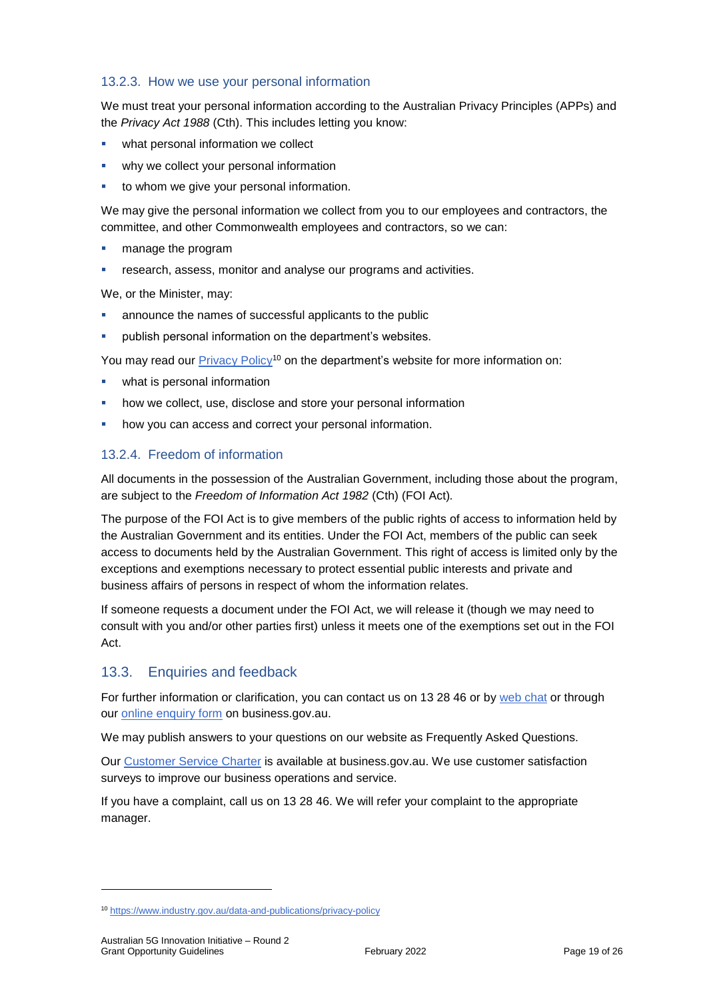### <span id="page-18-0"></span>13.2.3. How we use your personal information

We must treat your personal information according to the Australian Privacy Principles (APPs) and the *Privacy Act 1988* (Cth). This includes letting you know:

- what personal information we collect
- why we collect your personal information
- to whom we give your personal information.

We may give the personal information we collect from you to our employees and contractors, the committee, and other Commonwealth employees and contractors, so we can:

- **nanage the program**
- research, assess, monitor and analyse our programs and activities.

We, or the Minister, may:

- announce the names of successful applicants to the public
- publish personal information on the department's websites.

You may read our [Privacy Policy](https://www.industry.gov.au/data-and-publications/privacy-policy)<sup>10</sup> on the department's website for more information on:

- what is personal information
- how we collect, use, disclose and store your personal information
- how you can access and correct your personal information.

### 13.2.4. Freedom of information

All documents in the possession of the Australian Government, including those about the program, are subject to the *Freedom of Information Act 1982* (Cth) (FOI Act)*.*

The purpose of the FOI Act is to give members of the public rights of access to information held by the Australian Government and its entities. Under the FOI Act, members of the public can seek access to documents held by the Australian Government. This right of access is limited only by the exceptions and exemptions necessary to protect essential public interests and private and business affairs of persons in respect of whom the information relates.

If someone requests a document under the FOI Act, we will release it (though we may need to consult with you and/or other parties first) unless it meets one of the exemptions set out in the FOI Act.

### 13.3. Enquiries and feedback

For further information or clarification, you can contact us on 13 28 46 or by [web chat](https://www.business.gov.au/contact-us) or through our [online enquiry form](http://www.business.gov.au/contact-us/Pages/default.aspx) on business.gov.au.

We may publish answers to your questions on our website as Frequently Asked Questions.

Our [Customer Service Charter](https://www.business.gov.au/about/customer-service-charter) is available at [business.gov.au.](http://www.business.gov.au/) We use customer satisfaction surveys to improve our business operations and service.

If you have a complaint, call us on 13 28 46. We will refer your complaint to the appropriate manager.

<sup>10</sup> <https://www.industry.gov.au/data-and-publications/privacy-policy>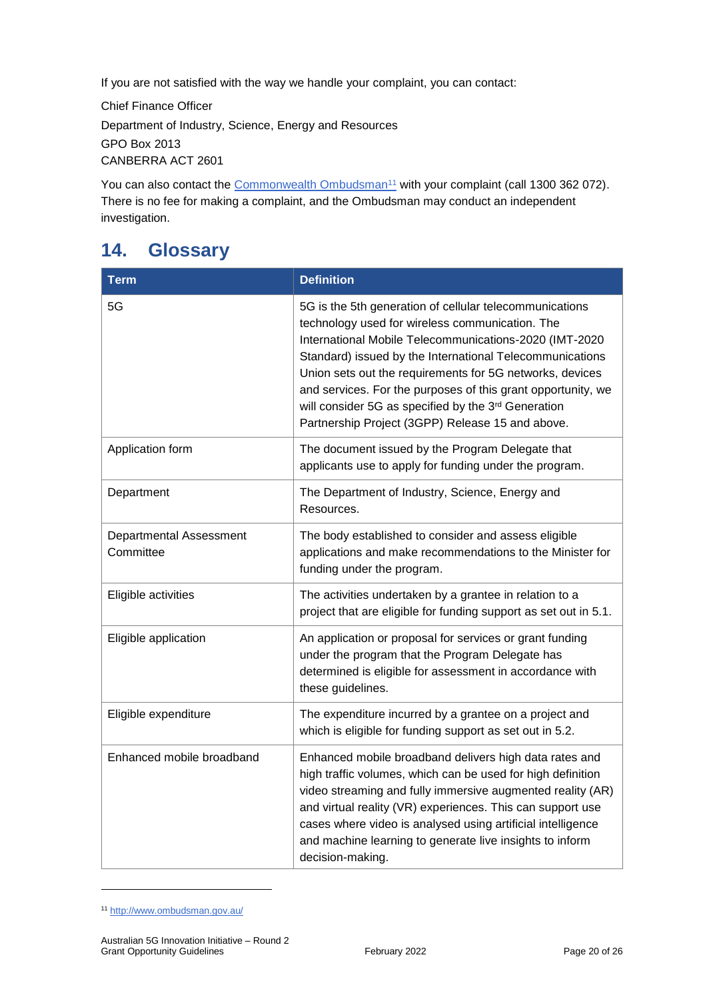If you are not satisfied with the way we handle your complaint, you can contact:

Chief Finance Officer Department of Industry, Science, Energy and Resources GPO Box 2013 CANBERRA ACT 2601

You can also contact the [Commonwealth Ombudsman](http://www.ombudsman.gov.au/)<sup>11</sup> with your complaint (call 1300 362 072). There is no fee for making a complaint, and the Ombudsman may conduct an independent investigation.

## <span id="page-19-0"></span>**14. Glossary**

| <b>Term</b>                                 | <b>Definition</b>                                                                                                                                                                                                                                                                                                                                                                                                                                                       |
|---------------------------------------------|-------------------------------------------------------------------------------------------------------------------------------------------------------------------------------------------------------------------------------------------------------------------------------------------------------------------------------------------------------------------------------------------------------------------------------------------------------------------------|
| 5G                                          | 5G is the 5th generation of cellular telecommunications<br>technology used for wireless communication. The<br>International Mobile Telecommunications-2020 (IMT-2020<br>Standard) issued by the International Telecommunications<br>Union sets out the requirements for 5G networks, devices<br>and services. For the purposes of this grant opportunity, we<br>will consider 5G as specified by the 3rd Generation<br>Partnership Project (3GPP) Release 15 and above. |
| Application form                            | The document issued by the Program Delegate that<br>applicants use to apply for funding under the program.                                                                                                                                                                                                                                                                                                                                                              |
| Department                                  | The Department of Industry, Science, Energy and<br>Resources.                                                                                                                                                                                                                                                                                                                                                                                                           |
| <b>Departmental Assessment</b><br>Committee | The body established to consider and assess eligible<br>applications and make recommendations to the Minister for<br>funding under the program.                                                                                                                                                                                                                                                                                                                         |
| Eligible activities                         | The activities undertaken by a grantee in relation to a<br>project that are eligible for funding support as set out in 5.1.                                                                                                                                                                                                                                                                                                                                             |
| Eligible application                        | An application or proposal for services or grant funding<br>under the program that the Program Delegate has<br>determined is eligible for assessment in accordance with<br>these guidelines.                                                                                                                                                                                                                                                                            |
| Eligible expenditure                        | The expenditure incurred by a grantee on a project and<br>which is eligible for funding support as set out in 5.2.                                                                                                                                                                                                                                                                                                                                                      |
| Enhanced mobile broadband                   | Enhanced mobile broadband delivers high data rates and<br>high traffic volumes, which can be used for high definition<br>video streaming and fully immersive augmented reality (AR)<br>and virtual reality (VR) experiences. This can support use<br>cases where video is analysed using artificial intelligence<br>and machine learning to generate live insights to inform<br>decision-making.                                                                        |

<sup>11</sup> <http://www.ombudsman.gov.au/>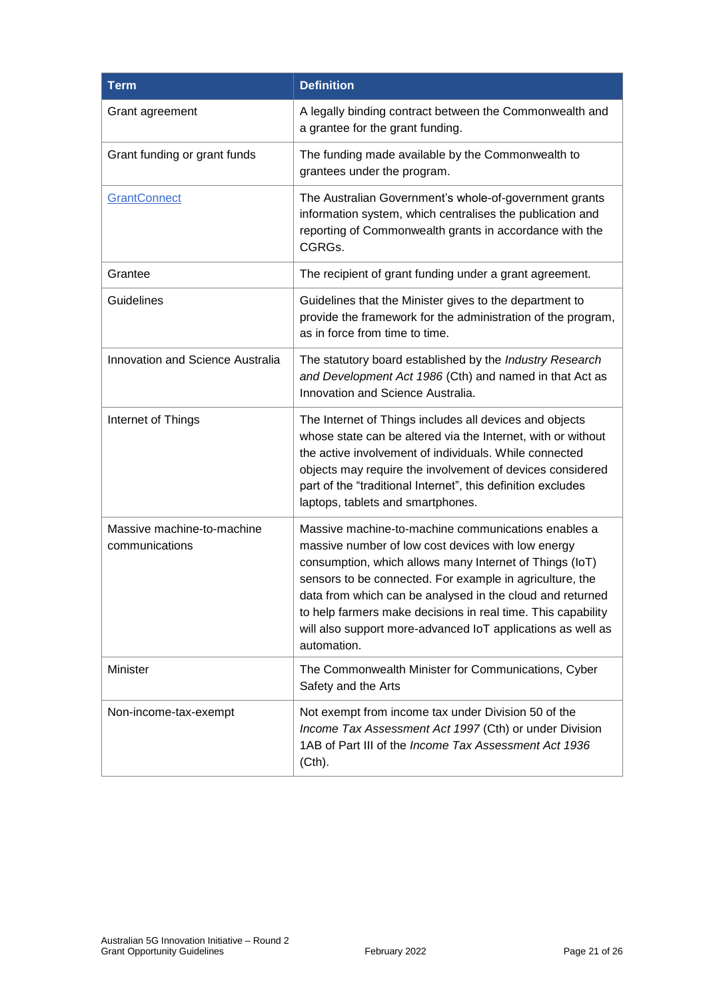| <b>Term</b>                                  | <b>Definition</b>                                                                                                                                                                                                                                                                                                                                                                                                                           |
|----------------------------------------------|---------------------------------------------------------------------------------------------------------------------------------------------------------------------------------------------------------------------------------------------------------------------------------------------------------------------------------------------------------------------------------------------------------------------------------------------|
| Grant agreement                              | A legally binding contract between the Commonwealth and<br>a grantee for the grant funding.                                                                                                                                                                                                                                                                                                                                                 |
| Grant funding or grant funds                 | The funding made available by the Commonwealth to<br>grantees under the program.                                                                                                                                                                                                                                                                                                                                                            |
| <b>GrantConnect</b>                          | The Australian Government's whole-of-government grants<br>information system, which centralises the publication and<br>reporting of Commonwealth grants in accordance with the<br>CGRGs.                                                                                                                                                                                                                                                    |
| Grantee                                      | The recipient of grant funding under a grant agreement.                                                                                                                                                                                                                                                                                                                                                                                     |
| Guidelines                                   | Guidelines that the Minister gives to the department to<br>provide the framework for the administration of the program,<br>as in force from time to time.                                                                                                                                                                                                                                                                                   |
| Innovation and Science Australia             | The statutory board established by the Industry Research<br>and Development Act 1986 (Cth) and named in that Act as<br>Innovation and Science Australia.                                                                                                                                                                                                                                                                                    |
| Internet of Things                           | The Internet of Things includes all devices and objects<br>whose state can be altered via the Internet, with or without<br>the active involvement of individuals. While connected<br>objects may require the involvement of devices considered<br>part of the "traditional Internet", this definition excludes<br>laptops, tablets and smartphones.                                                                                         |
| Massive machine-to-machine<br>communications | Massive machine-to-machine communications enables a<br>massive number of low cost devices with low energy<br>consumption, which allows many Internet of Things (IoT)<br>sensors to be connected. For example in agriculture, the<br>data from which can be analysed in the cloud and returned<br>to help farmers make decisions in real time. This capability<br>will also support more-advanced IoT applications as well as<br>automation. |
| Minister                                     | The Commonwealth Minister for Communications, Cyber<br>Safety and the Arts                                                                                                                                                                                                                                                                                                                                                                  |
| Non-income-tax-exempt                        | Not exempt from income tax under Division 50 of the<br>Income Tax Assessment Act 1997 (Cth) or under Division<br>1AB of Part III of the Income Tax Assessment Act 1936<br>$(Cth)$ .                                                                                                                                                                                                                                                         |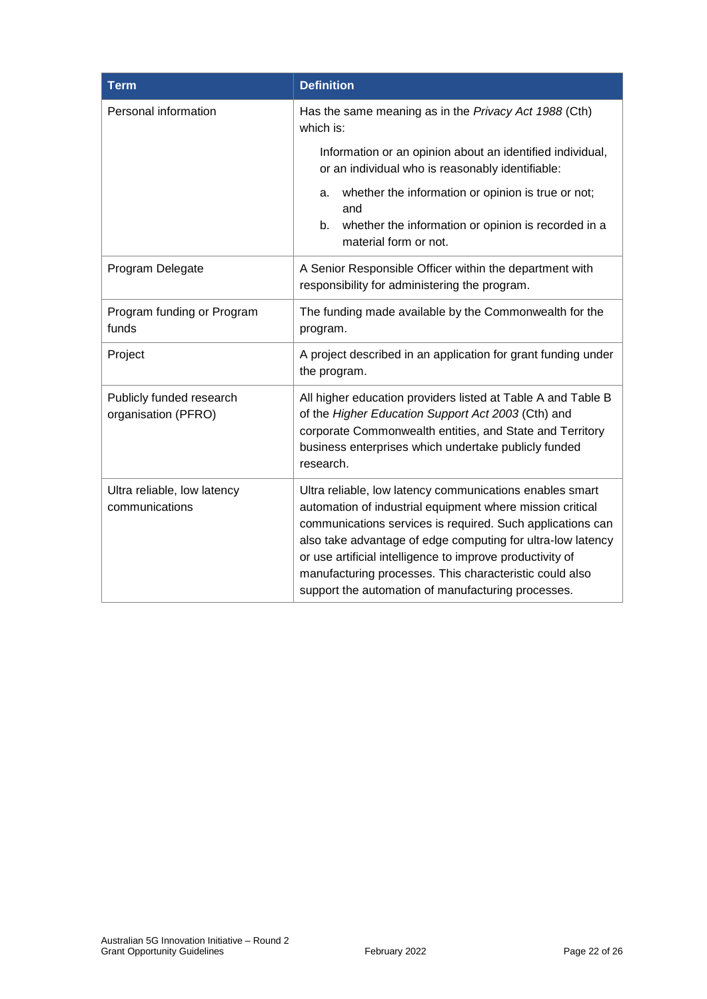| <b>Term</b>                                     | <b>Definition</b>                                                                                                                                                                                                                                                                                                                                                                                                                |  |  |
|-------------------------------------------------|----------------------------------------------------------------------------------------------------------------------------------------------------------------------------------------------------------------------------------------------------------------------------------------------------------------------------------------------------------------------------------------------------------------------------------|--|--|
| Personal information                            | Has the same meaning as in the Privacy Act 1988 (Cth)<br>which is:                                                                                                                                                                                                                                                                                                                                                               |  |  |
|                                                 | Information or an opinion about an identified individual,<br>or an individual who is reasonably identifiable:                                                                                                                                                                                                                                                                                                                    |  |  |
|                                                 | whether the information or opinion is true or not;<br>a.<br>and                                                                                                                                                                                                                                                                                                                                                                  |  |  |
|                                                 | whether the information or opinion is recorded in a<br>b.<br>material form or not.                                                                                                                                                                                                                                                                                                                                               |  |  |
| Program Delegate                                | A Senior Responsible Officer within the department with<br>responsibility for administering the program.                                                                                                                                                                                                                                                                                                                         |  |  |
| Program funding or Program<br>funds             | The funding made available by the Commonwealth for the<br>program.                                                                                                                                                                                                                                                                                                                                                               |  |  |
| Project                                         | A project described in an application for grant funding under<br>the program.                                                                                                                                                                                                                                                                                                                                                    |  |  |
| Publicly funded research<br>organisation (PFRO) | All higher education providers listed at Table A and Table B<br>of the Higher Education Support Act 2003 (Cth) and<br>corporate Commonwealth entities, and State and Territory<br>business enterprises which undertake publicly funded<br>research.                                                                                                                                                                              |  |  |
| Ultra reliable, low latency<br>communications   | Ultra reliable, low latency communications enables smart<br>automation of industrial equipment where mission critical<br>communications services is required. Such applications can<br>also take advantage of edge computing for ultra-low latency<br>or use artificial intelligence to improve productivity of<br>manufacturing processes. This characteristic could also<br>support the automation of manufacturing processes. |  |  |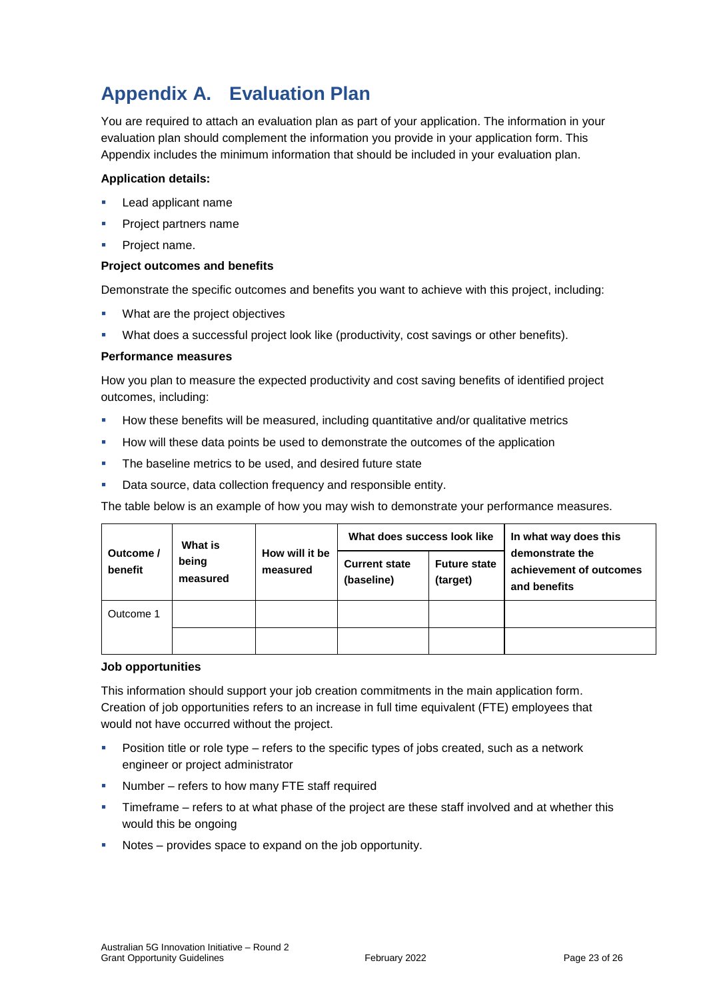## **Appendix A. Evaluation Plan**

You are required to attach an evaluation plan as part of your application. The information in your evaluation plan should complement the information you provide in your application form. This Appendix includes the minimum information that should be included in your evaluation plan.

#### **Application details:**

- **Lead applicant name**
- Project partners name
- **Project name.**

#### **Project outcomes and benefits**

Demonstrate the specific outcomes and benefits you want to achieve with this project, including:

- **What are the project objectives**
- What does a successful project look like (productivity, cost savings or other benefits).

#### **Performance measures**

How you plan to measure the expected productivity and cost saving benefits of identified project outcomes, including:

- **How these benefits will be measured, including quantitative and/or qualitative metrics**
- **How will these data points be used to demonstrate the outcomes of the application**
- **The baseline metrics to be used, and desired future state**
- **-** Data source, data collection frequency and responsible entity.

The table below is an example of how you may wish to demonstrate your performance measures.

|                      | What is<br>being<br>measured | How will it be<br>measured | What does success look like        |                                 | In what way does this                                      |
|----------------------|------------------------------|----------------------------|------------------------------------|---------------------------------|------------------------------------------------------------|
| Outcome /<br>benefit |                              |                            | <b>Current state</b><br>(baseline) | <b>Future state</b><br>(target) | demonstrate the<br>achievement of outcomes<br>and benefits |
| Outcome 1            |                              |                            |                                    |                                 |                                                            |
|                      |                              |                            |                                    |                                 |                                                            |

#### **Job opportunities**

This information should support your job creation commitments in the main application form. Creation of job opportunities refers to an increase in full time equivalent (FTE) employees that would not have occurred without the project.

- **Position title or role type refers to the specific types of jobs created, such as a network** engineer or project administrator
- Number refers to how many FTE staff required
- **Timeframe refers to at what phase of the project are these staff involved and at whether this** would this be ongoing
- Notes provides space to expand on the job opportunity.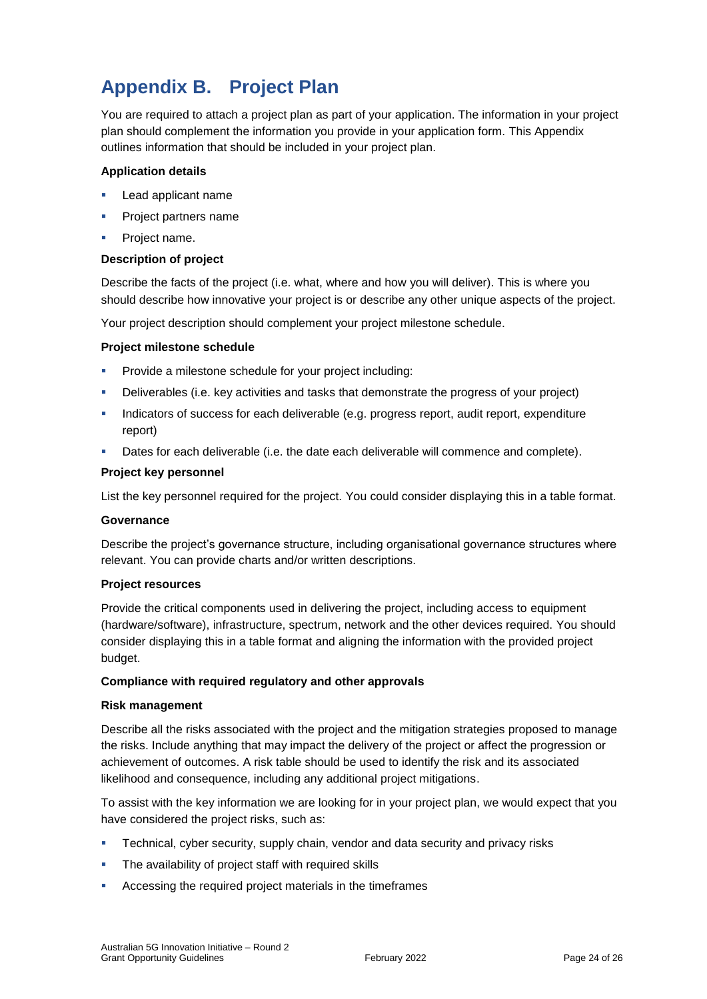## **Appendix B. Project Plan**

You are required to attach a project plan as part of your application. The information in your project plan should complement the information you provide in your application form. This Appendix outlines information that should be included in your project plan.

#### **Application details**

- **Lead applicant name**
- **Project partners name**
- **Project name.**

#### **Description of project**

Describe the facts of the project (i.e. what, where and how you will deliver). This is where you should describe how innovative your project is or describe any other unique aspects of the project.

Your project description should complement your project milestone schedule.

#### **Project milestone schedule**

- **Provide a milestone schedule for your project including:**
- Deliverables (i.e. key activities and tasks that demonstrate the progress of your project)
- Indicators of success for each deliverable (e.g. progress report, audit report, expenditure report)
- **Dates for each deliverable (i.e. the date each deliverable will commence and complete).**

#### **Project key personnel**

List the key personnel required for the project. You could consider displaying this in a table format.

#### **Governance**

Describe the project's governance structure, including organisational governance structures where relevant. You can provide charts and/or written descriptions.

#### **Project resources**

Provide the critical components used in delivering the project, including access to equipment (hardware/software), infrastructure, spectrum, network and the other devices required. You should consider displaying this in a table format and aligning the information with the provided project budget.

#### **Compliance with required regulatory and other approvals**

#### **Risk management**

Describe all the risks associated with the project and the mitigation strategies proposed to manage the risks. Include anything that may impact the delivery of the project or affect the progression or achievement of outcomes. A risk table should be used to identify the risk and its associated likelihood and consequence, including any additional project mitigations.

To assist with the key information we are looking for in your project plan, we would expect that you have considered the project risks, such as:

- Technical, cyber security, supply chain, vendor and data security and privacy risks
- The availability of project staff with required skills
- Accessing the required project materials in the timeframes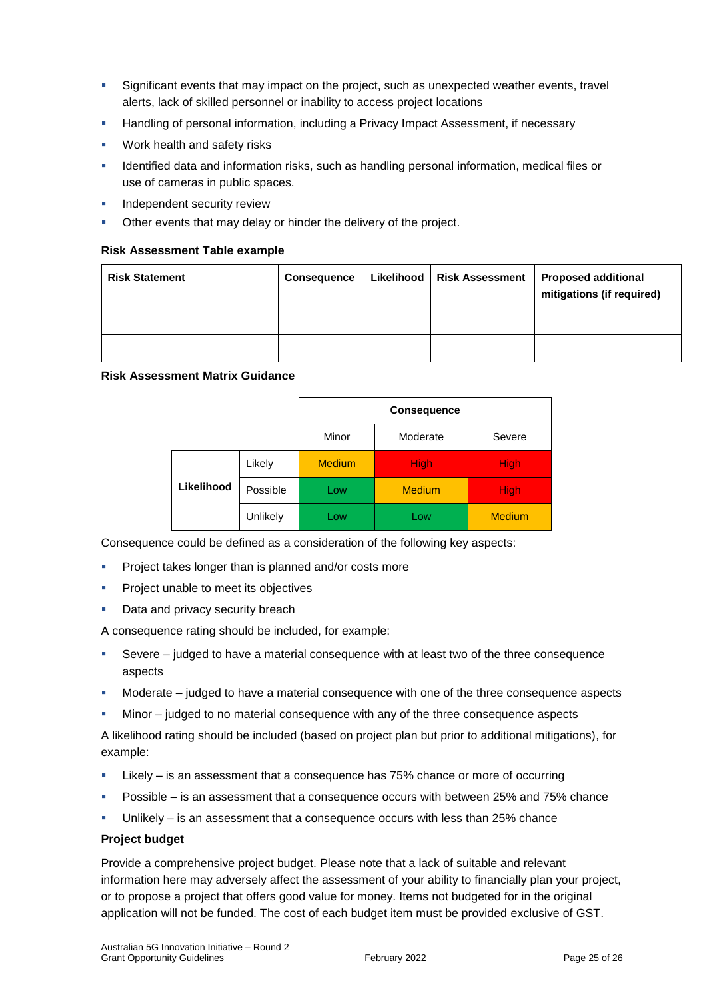- Significant events that may impact on the project, such as unexpected weather events, travel alerts, lack of skilled personnel or inability to access project locations
- Handling of personal information, including a Privacy Impact Assessment, if necessary
- Work health and safety risks
- Identified data and information risks, such as handling personal information, medical files or use of cameras in public spaces.
- Independent security review
- Other events that may delay or hinder the delivery of the project.

#### **Risk Assessment Table example**

| <b>Risk Statement</b> | <b>Consequence</b> | Likelihood   Risk Assessment | <b>Proposed additional</b><br>mitigations (if required) |
|-----------------------|--------------------|------------------------------|---------------------------------------------------------|
|                       |                    |                              |                                                         |
|                       |                    |                              |                                                         |

#### **Risk Assessment Matrix Guidance**

|            |          | <b>Consequence</b> |               |               |
|------------|----------|--------------------|---------------|---------------|
|            |          | Minor              | Moderate      | Severe        |
|            | Likely   | <b>Medium</b>      | <b>High</b>   | <b>High</b>   |
| Likelihood | Possible | Low                | <b>Medium</b> | <b>High</b>   |
|            | Unlikely | Low                | Low           | <b>Medium</b> |

Consequence could be defined as a consideration of the following key aspects:

- **Project takes longer than is planned and/or costs more**
- **Project unable to meet its objectives**
- Data and privacy security breach

A consequence rating should be included, for example:

- Severe judged to have a material consequence with at least two of the three consequence aspects
- Moderate judged to have a material consequence with one of the three consequence aspects
- Minor judged to no material consequence with any of the three consequence aspects

A likelihood rating should be included (based on project plan but prior to additional mitigations), for example:

- Likely is an assessment that a consequence has 75% chance or more of occurring
- **Possible is an assessment that a consequence occurs with between 25% and 75% chance**
- Unlikely is an assessment that a consequence occurs with less than 25% chance

#### **Project budget**

Provide a comprehensive project budget. Please note that a lack of suitable and relevant information here may adversely affect the assessment of your ability to financially plan your project, or to propose a project that offers good value for money. Items not budgeted for in the original application will not be funded. The cost of each budget item must be provided exclusive of GST.